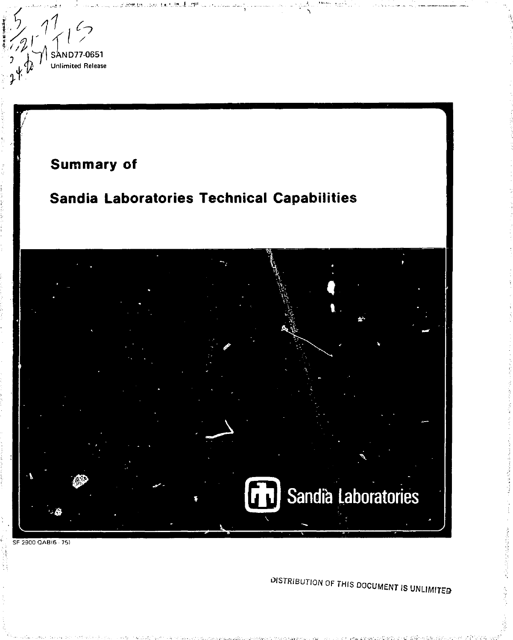

DISTRIBUTION OF THIS DOCUMENT IS UNLIMITED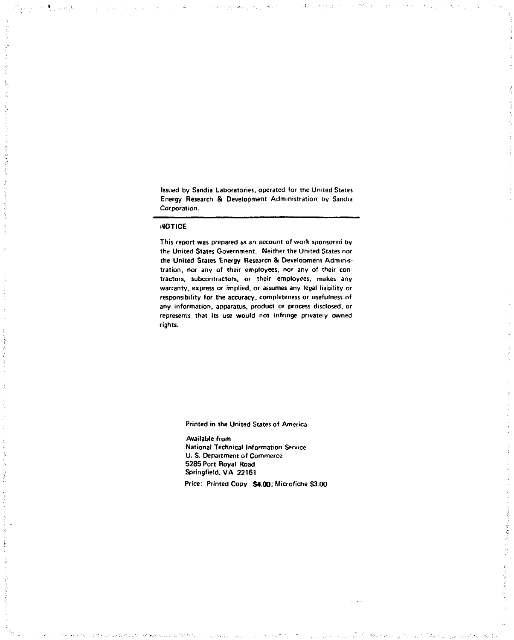Issued by Sandia Laboratories, operated for the United Stales Energy Research & Development Administration by Sandia Corporation.

 $-1$ 

#### **NOTICE**

 $\tau_{\rm eff}$  ,  $\tau_{\rm eff}$  by

This report was prepared as an account of work sponsored by the United States Government. Neither the United States nor the United States Energy Research & Development Administration, nor any of their employees, nor any of their contractors, subcontractors, or their employees, makes any warranty, express or implied, or assumes any legal liability or responsibility for the accuracy, completeness or usefulness of any information, apparatus, product or process disclosed, or represents that its use would not infringe privately owned rights.

Printed in the United States of America

Available from National Technical Information Service U. S. Department of Commerce 5285 Port Royal Road Springfield, VA 22161

Price: Printed Copy \$4.00; Microfiche S3.00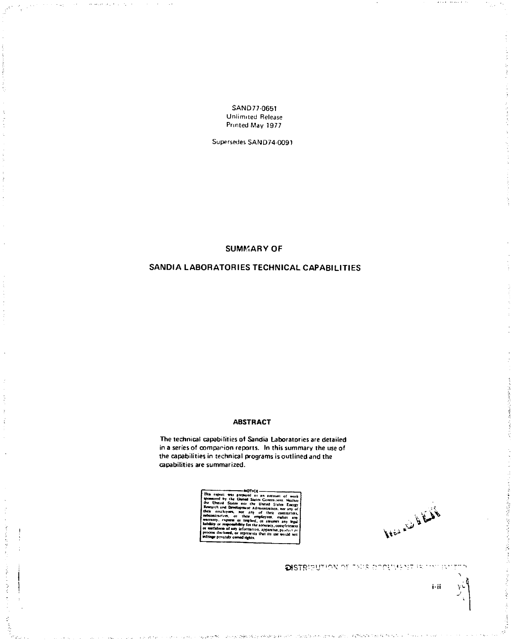SAND77-0651 Unlimited Release Printed May 1977

Supersedes SAND74-0091

**SUMMARY OF** 

# SANDIA LABORATORIES TECHNICAL CAPABILITIES

# **ABSTRACT**

The technical capabilities of Sandia Laboratories are detailed in a series of companion reports. In this summary the use of the capabilities in technical programs is outlined and the capabilities are summarized.



كافضا ونناه فالمضافه

i-ii

きょうかい きょうきょう

DISTRIBUTION OF THIS OPPLIES BE THE IN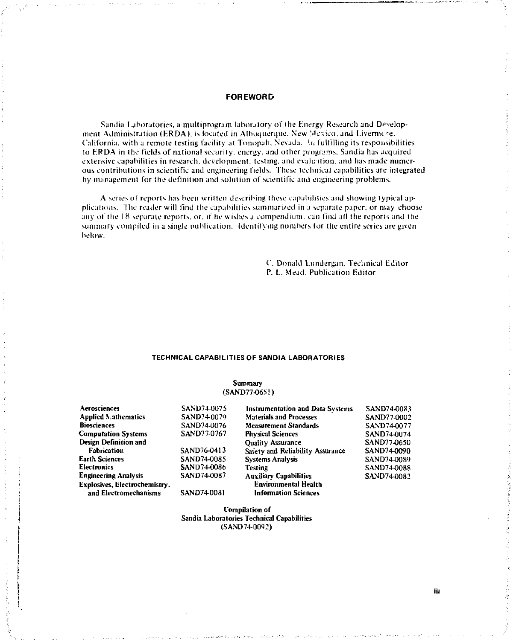# **FOREWORD**

Sandia Laboratories, a multiprogram laboratory of the Energy Research and Development Administration (ERDA), is located in Albuquerque. New Mexico, and Livermore. California, with a remote testing facility at Tonopah. Nevada,  $\hbar$  fulfilling its responsibilities to ERDA in the fields of national security, energy, and other programs. Sandia has acquired extensive capabilities in research, development, testing, and evaluation, and has made numerous contributions in scientific and engineering fields. These technical capabilities are integrated by management for the definition and solution of scientific and engineering problems.

A series of reports has been written describing these capabilities and showing typical applications. The reader will find the capabilities summarized in a separate paper, or may choose any of the 18 separate reports, or. if he wishes a compendium, can find all the reports and the summary compiled in a single publication. Identifying numbers for the entire series are given below.

> C. Donald Lundergan. Technical Editor P. L. Mead. Publication Editor

#### **TECHNICAL CAPABILITIES OF SANDIA LABORATORIES**

## Summary (SAND77-065!)

| Aerosciences                  | SAND74-0075 | <b>Instrumentation and Data Systems</b> | SAND74-0083        |
|-------------------------------|-------------|-----------------------------------------|--------------------|
| <b>Applied Mathematics</b>    | SAND74-0079 | <b>Materials and Processes</b>          | SAND77-0002        |
| <b>Biosciences</b>            | SAND74-0076 | <b>Measurement Standards</b>            | SAND74-0077        |
| <b>Computation Systems</b>    | SAND77-0767 | <b>Physical Sciences</b>                | SAND74-0074        |
| Design Definition and         |             | <b>Ouality Assurance</b>                | SAND77-0650        |
| Fabrication                   | SAND76-0413 | Safety and Reliability Assurance        | SAND74-0090        |
| Earth Sciences                | SAND74-0085 | <b>Systems Analysis</b>                 | SAND74-0089        |
| Electronics                   | SAND74-0086 | <b>Testing</b>                          | <b>SAND74-0088</b> |
| <b>Engineering Analysis</b>   | SAND74-0087 | <b>Auxiliary Capabilities</b>           | SAND74-0082        |
| Explosives, Electrochemistry, |             | <b>Environmental Health</b>             |                    |
| and Electromechanisms         | SAND74-0081 | <b>Information Sciences</b>             |                    |

Compilation of Sandia Laboratories Technical Capabilities  $(SAND740092)$ 

iii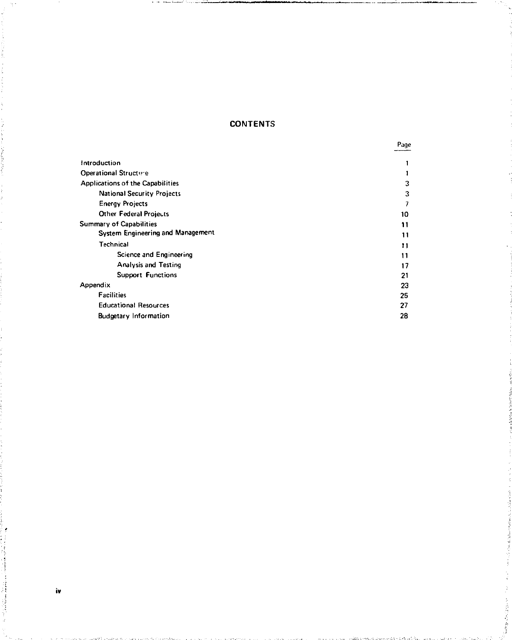# **CONTENTS**

Page

**Contractor** 

|                                         | __________ |
|-----------------------------------------|------------|
| introduction                            |            |
| Operational Structure                   |            |
| <b>Applications of the Capabilities</b> | 3          |
| <b>National Security Projects</b>       | 3          |
| <b>Energy Projects</b>                  |            |
| Other Federal Projects                  | 10         |
| Summary of Capabilities                 | 11         |
| System Engineering and Management       | 11         |
| Technical                               | 11         |
| Science and Engineering                 | 11         |
| <b>Analysis and Testing</b>             | 17         |
| <b>Support Functions</b>                | 21         |
| Appendix                                | 23         |
| <b>Facilities</b>                       | 25         |
| <b>Educational Resources</b>            | 27         |
| <b>Budgetary Information</b>            | 28         |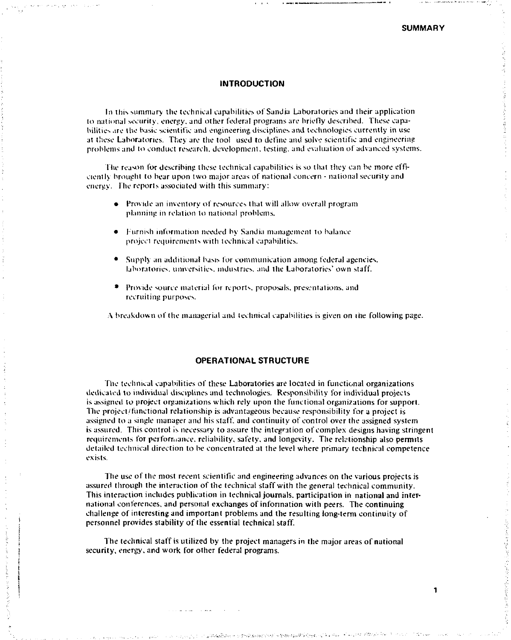#### **INTRODUCTION**

In this summary the technical capabilities of Sandia Laboratories and their application to national security, energy, and other federal programs are briefly described. These capabilities are the basic scientific and engineering disciplines and technologies currently in use at these Laboratories. They are the tool used to define and solve scientific and engineering problems and to conduct research, development, testing, and evaluation of advanced systems.

The reason for describing these technical capabilities is so that they can be more efficiently brought to bear upon two major areas of national concern - national security and energy. The reports associated with this summary:

- Provide an inventory of resources that will allow overall program planning in relation to national problems.
- Furnish information needed by Sandia management to balance project requirements with technical capabilities.
- Supply an additional basis lor communication among federal agencies, laboratories, universities, industries, and the Laboratories' own staff.
- Provide source material for reports, proposals, presentations, and recruiting purposes.

A breakdown of the managerial and technical capabilities is given on the following page.

# **OPERATIONAL STRUCTURE**

The technical capabilities of these Laboratories are located in functional organizations dedicated to individual disciplines and technologies. Responsibility for individual projects is assigned to project organizations which rely upon the functional organizations for support. The project'functional relationship is advantageous because responsibility for a project is assigned to a single manager and his staff, and continuity of control over the assigned system is assured. This control is necessary to assure the integration of complex designs having stringent requirements for performance, reliability, safety, and longevity. The relationship also permits detailed technical direction to be concentrated at the level where primary technical competence exists.

The use of the most recent scientific and engineering advances on the various projects is assured through the interaction of the technical staff with the general technical community. This interaction includes publication in technical journals, participation in national and international conferences, and personal exchanges of information with peers. The continuing challenge of interesting and important problems and the resulting long-term continuity of personnel provides stability of the essential technical staff.

The technical staff is utilized by the project managers in the major areas of national security, energy, and work for other federal programs.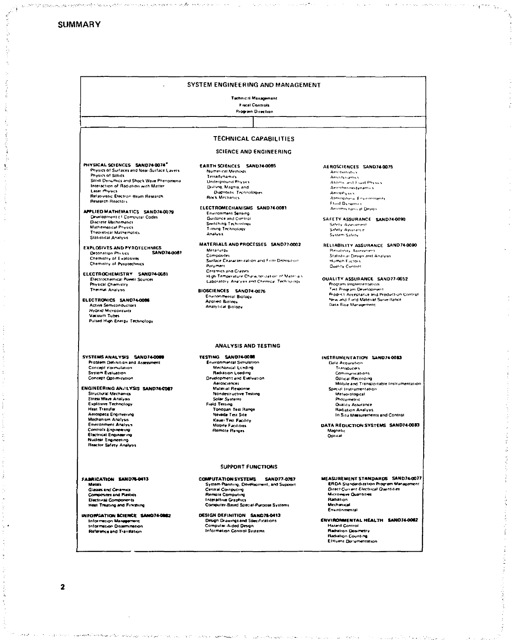|                                                                  | SYSTEM ENGINEERING AND MANAGEMENT                                     |                                              |
|------------------------------------------------------------------|-----------------------------------------------------------------------|----------------------------------------------|
|                                                                  | Technical Management                                                  |                                              |
|                                                                  | <b>Fiscal Controls</b>                                                |                                              |
|                                                                  | Program Direction                                                     |                                              |
|                                                                  |                                                                       |                                              |
|                                                                  |                                                                       |                                              |
|                                                                  | TECHNICAL CAPABILITIES                                                |                                              |
|                                                                  | <b>SCIENCE AND ENGINEERING</b>                                        |                                              |
| PHYSICAL SCIENCES SAND74-0074"                                   | EARTH SCIENCES SAND74-0085                                            | AEROSCIENCES SAND74-0075                     |
| Physics of Surfaces and Near-Surface Lavers<br>Physics of Solids | Numerical Methods                                                     | <b>Arreitatistics</b>                        |
| Solid Dynamics and Shock Wave Phenomena                          | Terradynamics                                                         | <b>Antichkeiten</b>                          |
| Interaction of Radiation with Matter                             | Underground Physics                                                   | Atoms, and Fluid Physics                     |
| Later Physics                                                    | Drilling, Magnia, and<br><b>Diagnostic Technologies</b>               | Aerethermodynamics                           |
| Relativistic Electron Beam Research                              | <b>Rock Mechanics</b>                                                 | Amoony sus                                   |
| Research Reactors                                                |                                                                       | Atmospheral Environments<br>Fluid Dynamics   |
|                                                                  | ELECTROMECHANISMS SAND74-0081                                         | Antomic hasseal Design                       |
| APPLIED MATHEMATICS SAND74-0079                                  | <b>Environment Sensing</b>                                            |                                              |
| Development of Computer Codes                                    | <b>Guidance and Control</b>                                           | SAFETY ASSURANCE SAND74-0090                 |
| Discrete Mathematics                                             | Switching Technology                                                  | Safety Assessment                            |
| <b>Mathematical Physics</b>                                      | Timing Technology                                                     | Safety Association                           |
| Theoretical Mathematics                                          | Analysis                                                              | System Safety                                |
| Statistical Analysis                                             |                                                                       |                                              |
| <b>EXPLOSIVES AND PYROTECHNICS</b>                               | MATERIALS AND PROCESSES SAND77-0002                                   | RELIABILITY ASSURANCE SAND74-0090            |
| <b>SAND74-0061</b><br>Detonation Physics                         | Metallurgy                                                            | Renability Assessment                        |
| Chemistry of Explosives                                          | <b>Composites</b>                                                     | Statistical Design and Analysis              |
| Chemistry of Pyrotechnics                                        | Surface Characterization and Film DePosition                          | Human Factors                                |
|                                                                  | Palymers                                                              | Quality Centrol                              |
| ELECTROCHEMISTRY SAND74-0081                                     | Ceramics and Glasses                                                  |                                              |
| Electrochemical Power Sources                                    | High-Temperature Characterization of Materia's                        | QUALITY ASSURANCE SAND77-0652                |
| Physical Chemistry                                               | Laboratory Analysis and Chemical Technology                           | Program Implementation                       |
| Thermal Analysis                                                 | BIOSCIENCES SAND74-0076                                               | Test Program Development                     |
|                                                                  | Environmental Biology                                                 | Prodict Acceptance and Production Control    |
| ELECTRONICS SAND74-0086                                          | <b>Applied Biotogy</b>                                                | New and Field Material Surveillance          |
| <b>Active Semiconductors</b>                                     | <b>Analytical Biolony</b>                                             | Data Base Management                         |
| <b>Hybrid Microcircuits</b>                                      |                                                                       |                                              |
| Vacuum Tubes                                                     |                                                                       |                                              |
| Puised High Energy Technology                                    |                                                                       |                                              |
|                                                                  | <b>ANALYSIS AND TESTING</b>                                           |                                              |
| SYSTEMS ANALYSIS SAND74-0000                                     | TESTING SAND74-0008                                                   | INSTRUMENTATION SAND74-0003                  |
| Problem Definition and Assessment                                | <b>Environmental Simulation</b>                                       | Data Acquisition                             |
| Concept Formulation                                              | Mechanical Loading                                                    | Transducers                                  |
| System Evaluation                                                | Radiation Loading                                                     | Communications                               |
| Concept Cotimization                                             | Development and Evaluation                                            | <b>Optical Recording</b>                     |
|                                                                  | Aerosciences                                                          | Mobile and Transportable Instrumentation     |
| ENGINEERING ANALYSIS SAND74-COR7                                 | Material Response                                                     | Special Instrumentation                      |
| <b>Structural Mechanics</b>                                      | Nondestructive Testing                                                | Meteorological                               |
| <b>Stress Wave Analysis</b>                                      | Solar Systems                                                         | Photometric                                  |
| <b>Explosive Technology</b>                                      | Field Testing                                                         | <b>Outlity Assistance</b>                    |
| <b>Heat Transfer</b>                                             | Tonopah Test Range                                                    | Radiation Analysis                           |
| Aerospace Engineering                                            | Nevada Test Site                                                      | In Sizu Measurements and Control             |
| Mechanism Analysis                                               | <b>Kaup Ted Facility</b>                                              |                                              |
| <b>Environment Analyss</b><br>Controls Engineering               | <b>Mobile Facilities</b>                                              | DATA REDUCTION SYSTEMS SAND74-0083           |
| <b>Electrical Engineering</b>                                    | Remote Ranges                                                         | Magnetic                                     |
| <b>Nuclear Engineering</b>                                       |                                                                       | Optical                                      |
| <b>Reactor Safety Analysis</b>                                   |                                                                       |                                              |
|                                                                  |                                                                       |                                              |
| FABRICATION SAND76-0413                                          | <b>SUPPORT FUNCTIONS</b><br><b>COMPUTATION SYSTEMS</b><br>SAND77-0767 | MEASUREMENT STANDARDS SAND74-0077            |
| Metals                                                           | System Planning, Development, and Support                             | ERDA Standardization Progrem Management      |
| <b>Glasses and Ceramics</b>                                      | Central Computing                                                     | <b>Direct-Current Electrical Quantities</b>  |
| Composites and Puntics                                           | <b>Remate Computing</b>                                               | <b>Micronave Cluentities</b>                 |
| Electrical Components                                            | <b>Interactive Graphics</b>                                           | Radution                                     |
| Hest Treating and Finishing                                      | Computer-Based Special-Purpose Systems                                | Mechanical                                   |
|                                                                  |                                                                       | Environmental                                |
| INFORMATION SCIENCE SAND74-0082                                  | DESIGN DEFINITION SAND76-0413                                         |                                              |
| <b>Information Management</b>                                    | Design Drawings and Specifications                                    | ENVIRONMENTAL HEALTH SAND74-0082             |
| Information Dissemination                                        | <b>Computer-Aided Devon</b>                                           | <b>Harard Control</b>                        |
| Reference and Translation                                        | Information Control Systems                                           | Radvision Dosmetry                           |
|                                                                  |                                                                       | Radistron Counting<br>Elttuent Documentation |
|                                                                  |                                                                       |                                              |

 $\overline{\mathbf{2}}$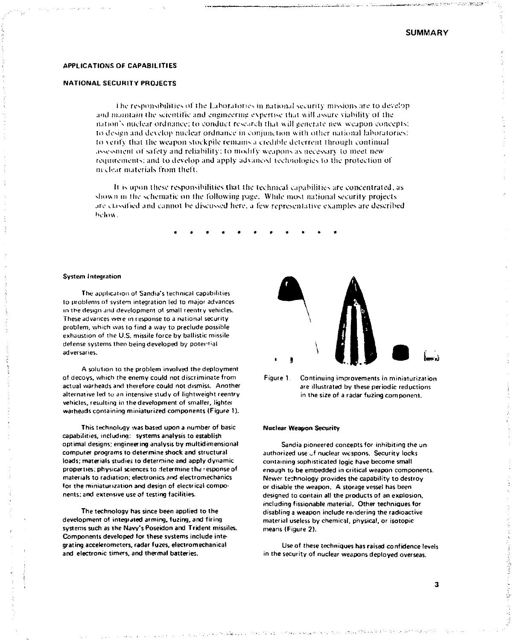#### APPLICATIONS OF CAPABILITIES

### **NATIONAL SECURITY PROJECTS**

I he responsibilities of the Laboratories in national security missions are to develop and maintain the scientific and engineering expertise that will assure viability of the nation's nuclear ordnance: to conduct research thai wil l generate new weapon concepts: to design and develop nuclear ordnance in conjunction with other national laboratories: to verify that the weapon stockpile remains a credible deterrent through continual assessment of safety and reliability: to modify weapons as necessary to meet new requirements; and to develop and apply advanced technologies to the protection of medear materials from theft.

It is upon these responsibilities that the technical capabilities are concentrated, as shown in the schematic on the following page. While most national security projects are classified and cannot be discussed here, a few represenlative examples are described below.

#### System Integration

The application of Sandia's technical capabilities to problems oi system integration led to major advances in the design and development of small reentry vehicles. These advances were in response to a national security problem, which was 10 find a way to preclude possible exhaustion of the U.S. missile force by ballistic missile defense systems then being developed by potential adversaries.

A solution to the problem involved the deployment of decoys, which the enemy could not discriminate from actual warheads and iherelore could not dismiss. Another alternative led to *an* intensive study of lightweight reentry vehicles, resulting in the development of smaller, lighter warheads containing miniaturized components (Figure 1).

This technology was based upon a number of basic capabilities, including: systems analysis to establish optimal designs; engineering analysis by multidimensional computer programs to determine shock and structural loads; materials studies to determine and apply dynamic properties; physical sciences to determine the \* esponse of materials to radiation; electronics and electromechanics for the miniaturization and design of electrical components; and extensive use of testing facilities.

The technology has since been applied to the development of integrated arming, fuzing, and firing systems such as the Navy's Poseidon and Trident missiles. Components developed for these systems include integrating accelerometers, radar fuzes, electromechanical and electronic timers, and thermal batteries.





#### Nuclear Weapon Security

Sandia pioneered concepts for inhibiting the un authorized use of nuclear weapons. Security locks containing sophisticated logic have become small enough to be embedded in critical weapon components. Newer technology provides the capability to destroy or disable the weapon. A storage vessel has been designed to contain all the products of an explosion, including fissionable material. Other techniques for disabling a weapon include rendering the radioactive material useless by chemical, physical, or isotopic means {Figure 2).

Use of these techniques has raised confidence levels in the security of nuclear weapons deployed overseas.

alperator in tuttiglisma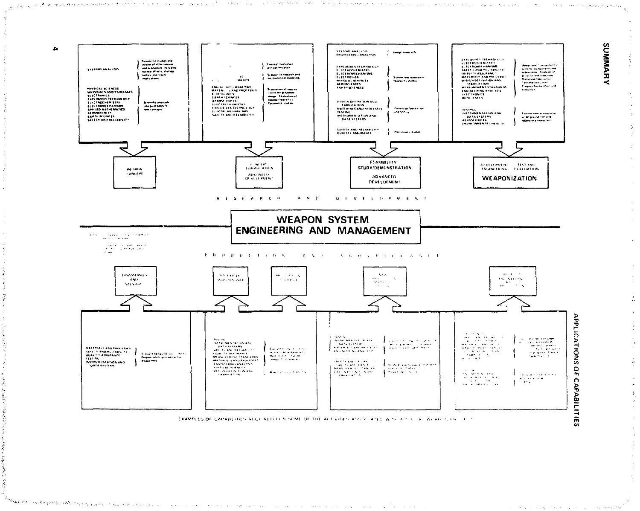

The succession of the computation of

ala<br>Santa di Santa del Santa María (1949), del proposto del componento del co

san sa pri

R

EXAMPLES OF CAPABLITIES REGITALED FOR SOME OF THE ACTIVITY'S ASSOCIATED WITH A THE LAT AFAIST CITED OF T

 $\bar{z}$ 

 $\hat{\mathbf{a}}$ 

where  $\alpha$  is the contribution of the contribution of  $\alpha$ 

والأبر وتعرف والردا

 $\gamma = \gamma + \gamma \rho \gamma$  , where  $\gamma = \eta_{\sigma_1}$  principal projection is

personal company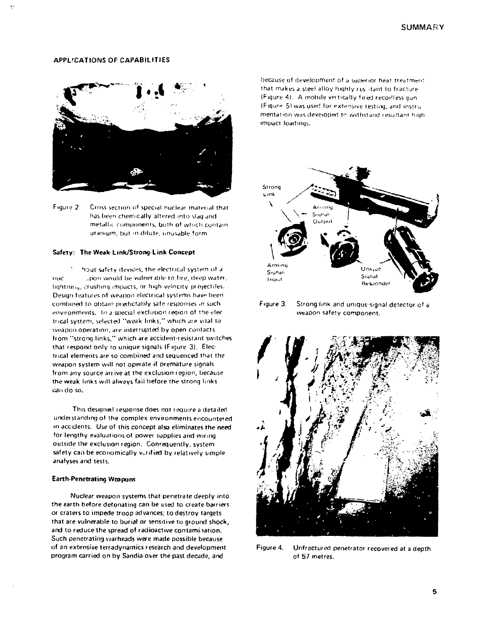# **APPLICATIONS OF CAPABILITIES**



Figure 2 Cross section of special nuclear material that has been chemically altered into slag and metallic components, both of which contain uranium, but in dilute, unusable form

#### Safety: The Weak-Link/Strong-Link Concept

hout safety devices, the electrical system of a upon would be vulnerable to fire, deep water, nuc lightning, crushing impacts, or high-velocity projectiles. Design features of weapon electrical systems have been combined to obtain predictably safe responses in such. environments. In a special exclusion region of the electrical system, selected "weak links," which are vital to weapon operation, are interrupted by open contacts from "strong links," which are accident-resistant switches that respond only to unique signals (Figure 3). Electrical elements are so combined and sequenced that the weapon system will not operate if premature signals. from any source arrive at the exclusion region, because the weak links will always fail before the strong links can do so.

This designed response does not require a detailed understanding of the complex environments encountered in accidents. Use of this concept also eliminates the need for lengthy evaluations of power supplies and wiring outside the exclusion region. Consequently, system safety can be economically varified by relatively simple analyses and tests.

#### **Earth-Penetrating Weapons**

Nuclear weapon systems that penetrate deeply into the earth before detonating can be used to create barriers or craters to impede troop advances; to destroy targets that are vulnerable to burial or sensitive to ground shock. and to reduce the spread of radioactive contamination. Such penetrating warheads were made possible because of an extensive terradynamics research and development program carried on by Sandia over the past decade, and

because of development of a superior heat treatment. that makes a steel alloy highly resistant to fracture (Figure 4). A mobile vertically fired recorlless gun (Figure 5) was used for extensive testing, and instrumentation was developed to withstand resultant highimpact loadings.



Figure 3. Strong link and unique-signal detector of a weapon safety component.



Figure 4. Unfractured penetrator recovered at a depth of 57 metres.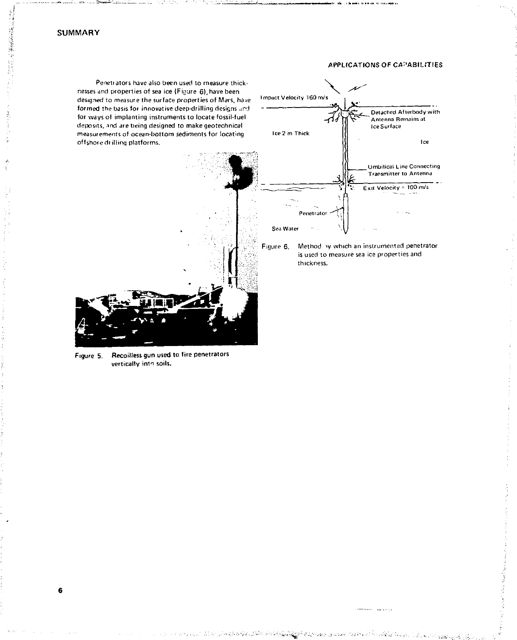$\bar{\zeta}$ 

 $\sim$ 

**6** 

#### APPLICATIONS OF CAPABILITIES

Penetiaiors have also been used to measure thicknesses and properties of sea ice (Figure 6), have been designed to measure the surface properties of Mars, have formed the basis for innovative deep-drilling designs and for ways of implanting instruments to locate fossil-fuel deposits, ind are being designed to make geotechnical measurements of ocean-bottom sediments for locating offshore dr illing platforms.





en savoir



Figure 5. Recoilless gun used to fire penetrators vertically into soils.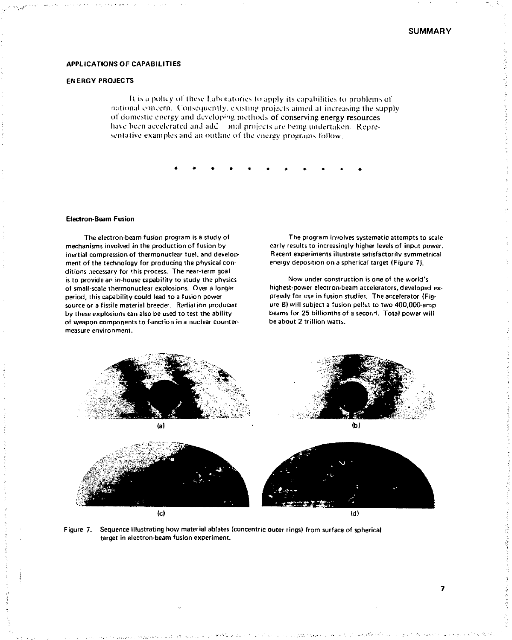#### **APPLICATIONS** OF **CAPABILITIES**

#### ENERGY PROJECTS

It is a policy of these Laboratories to apply its capabilities to problems of national concern. Consequently, existing projects aimed at increasing the supply of domestic energy and developing methods of conserving energy resources have been accelerated and add joinal projects are being undertaken. Representative examples and an outline of the energy programs follow.

#### Electron-Beam Fusion

The electron-beam fusion program is a study of mechanisms involved in the production of fusion by inertial compression of thermonuclear fuel, and development of the technology for producing the physical conditions .necessary for this process. The near-term goal is to provide an in-house capability to study the physics of small-scale thermonuclear explosions. Over a longer period, this capability could lead to a fusion power source or a fissile material breeder. Radiation produced by these explosions can also be used to test the ability of weapon components to function in a nuclear countermeasure environment.

The program involves systematic attempts to scale early results to increasingly higher levels of input power. Recent experiments illustrate satisfactorily symmetrical energy deposition on a spherical target (Figure 7).

Now under construction is one of the world's highest-power electron-beam accelerators, developed expressly for use in fusion studies. The accelerator (Figure 8) will subject a fusion pellet to two 400,000-amp beams for 25 billionths of a secor.<sup>1</sup>. Total power will be about 2 trillion watts.



Figure 7. Sequence illustrating how material ablates (concentric outer rings) from surface of spherical target in electron-beam fusion experiment.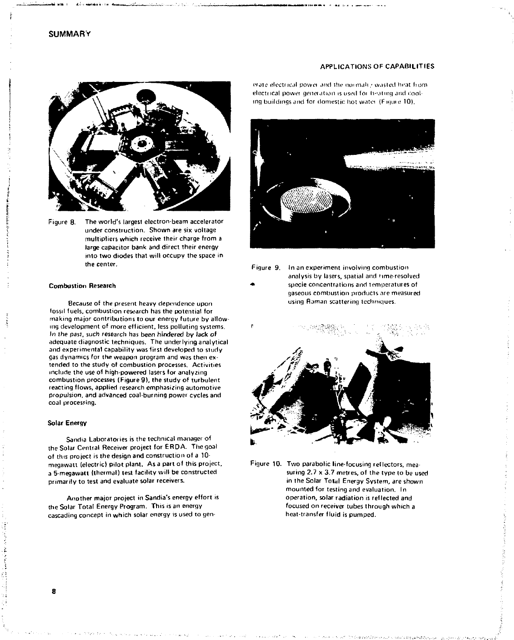

Figure 8. The world's largest electron-beam accelerator under construction. Shown are six voltage multipliers which receive their charge from a large capacitor bank and direct their energy into two diodes that will occupy the space in the center.

#### **Combustion Research**

Because of the present heavy dependence upon fossil fuels, combustion research has the potential for making major contributions to our energy future by allowing development of more efficient, less polluting systems. In the past, such research has been hindered by lack of adequate diagnostic techniques. The underlying analytical and experimental capability was first developed to study gas dynamics for the weapon program and was then extended to the study of combustion processes. Activities include the use of high-powered lasers for analyzing combustion processes (Figure 9), the study of turbulent reacting flows, applied research emphasizing automotive propulsion, and advanced coal-burning power cycles and coal processing.

#### **Solar Energy**

Sandia Laboratories is the technical manager of the Solar Central Receiver project for ERDA. The goal of this project is the design and construction of a 10 megawatt (electric) pilot plant. As a part of this project, a 5-megawatt (thermal) test facility will be constructed primarily to test and evaluate solar receivers.

Another major project in Sandia's energy effort is the Solar Total Energy Program. This is an energy cascading concept in which solar energy is used to gen-

erate electrical power and the normali,' wasted heat from electrical power generation is used for heating and coaling buildings and for domestic hot watei (F ujuie 10).

**APPLICATIONS** OF **CAPABILITIES** 



Figure 9. In an experiment involving combustion analysis by lasers, spatial and time-resolved specie concentrations and temperatures of gaseous combustion products are measured using Raman scattering techniques.



Figure 10. Two parabolic line-focusing reflectors, measuring 2.7 x 3.7 metres, of the type to be used in the Solar Total Energy System, *are* shown mounted for testing and evaluation. In operation, solar radiation is reflected and focused on receiver tubes through which a heat-transfer fluid is pumped.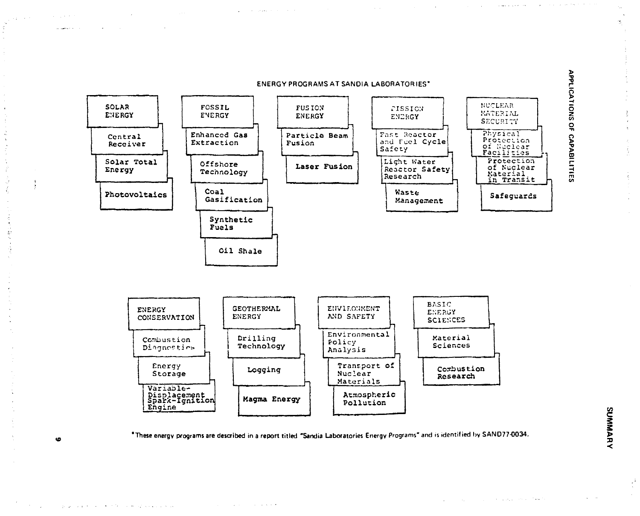

 $\Delta\phi$  , which is a property of the set of the  $\phi$ 

\*These energy programs are described in a report titled "Sandia Laboratories Energy Programs" and is identified by SAND77-0034.

state of a series and a series

 $\mathcal{L}$ 

and a control of

 $\chi_{\rm{max}}$  , and  $\chi_{\rm{max}}$  , and  $\chi_{\rm{max}}$  , and  $\chi_{\rm{max}}$  , where  $\chi_{\rm{max}}$ 

ه

great properties of the communications of the

 $\Delta$ 

å

Å,

a sport of the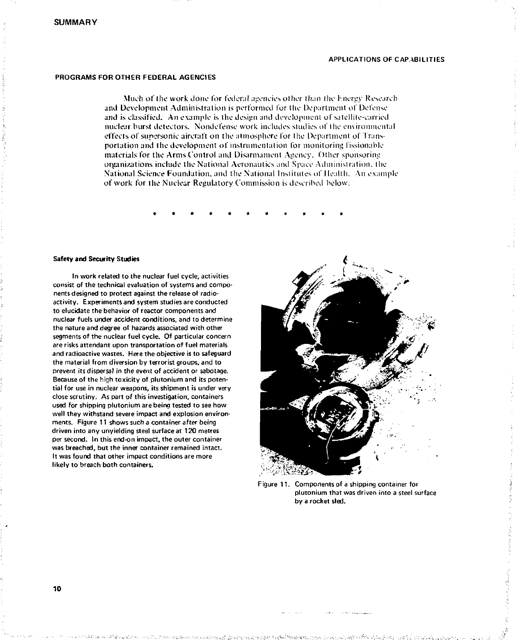#### APPLICATIONS OF CAPABILITIES

#### PROGRAMS FOR OTHER FEDERAL AGENCIES

Much of the work done for federal agencies other than the hnergy Research and Development Administration is performed for the Department of Defense and is classified. An example is the design and development of satellite-carried nuclear burst detectors. Nondefense work includes studies of the environmental effects of supersonic aircraft on the atmosphere for the Department of Transportation and the development of instrumentation for monitoring fissionable materials for the Arms Control and Disarmament Agency. Other sponsoring organizations include the National Aeronautics and Space Administration , the National Science Foundation, and the National Institutes of Health. An example of work for the Nuclear Regulatory Commission is described below.

*\*\*\*\*\*\*\*\*\*\* \** 

#### **Safety and Security Studies**

In work related to the nuclear fuel cycle, activities consist of the technical evaluation of systems and components designed to protect against the release of radioactivity. Experiments and system studies are conducted to elucidate the behavior of reactor components and nuclear fuels under accident conditions, and to determine the nature and degree of hazards associated with other segments of the nuclear fuel cycle. Of particular concern are risks attendant upon transportation of fuel materials and radioactive wastes. Here the objective is to safeguard the material from diversion by terrorist groups, and to prevent its dispersal in the event of accident or sabotage. Because of the high toxicity of plutonium and its potential for use in nuclear weapons, its shipment is under very close scrutiny. As part of this investigation, containers used for shipping plutonium are being tested to see how well they withstand severe impact and explosion environments. Figure 11 shows such a container after being driven into any unyielding steel surface at 120 metres per second. In this end-on impact, the outer container was breached, but the inner container remained intact. It was found that other impact conditions are more likely to breach both containers.



Figure 11. Components of a shipping container for plutonium that was driven into a steel surface by a rocket sled.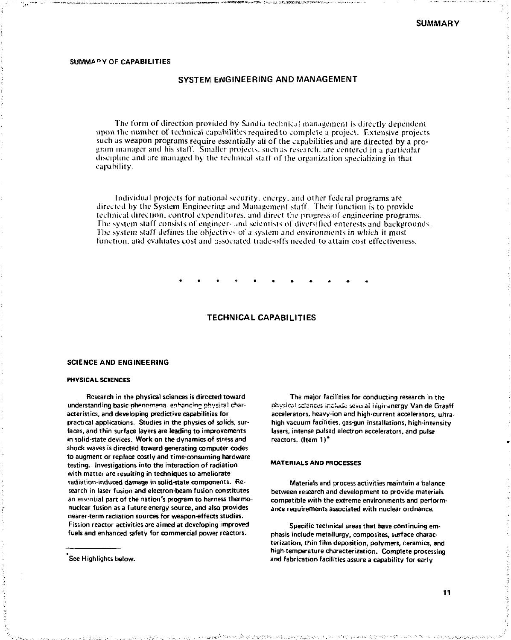#### SUMMARY OF CAPABILITIES

#### SYSTEM ENGINEERING AND MANAGEMENT

The form of direction provided by Sandia technical management is directly dependent upon the number of technical capabilities required to complete a project. Extensive projects such as weapon programs require essentially all of the capabilities and are directed by a pro-<br>gram manager and his staff. Smaller projects, such as research, are centered in a particular discipline and are managed by the technical staff of the organization specializing in that capability.

Individual projects for national security, energy, and other federal programs are directed by the System Engineering and Management staff. 1 heir function is to provide technical direction, control expenditures, and direct the progress of engineering programs. The system staff consists of engineers and scientists of diversified enterests and backgrounds. The system staff defines the objectives of a system and environments in which it must function, and evaluates cost and associated trade-offs needed to attain cost effectiveness.

# **TECHNICA L CAPABILITIES**

#### **SCIENCE AND ENGINEERING**

#### **PHYSICAL** SCIENCES

Research in the physical sciences is directed toward understanding basic phenomena, enhancinn physical characteristics, and developing predictive capabilities for practical applications. Studies in the physics of solids, surfaces, and thin surface layers are leading to improvements in solid-state devices. Work on the dynamics of stress and shock waves is directed toward generating computer codes to augment or replace costly and time-consuming hardware testing. Investigations into the interaction of radiation with matter are resulting in techniques to ameliorate radiation-induced damage in solid-state components. Research in laser fusion and electron-beam fusion constitutes an essential part of the nation's program to harness thermonuclear fusion as a future energy source, and also provides nearer-term radiation sources for weapon-effects studies. Fission reactor activities are aimed at developing improved fuels and enhanced safety for commercial power reactors.

See Highlights below.

The major facilities for conducting research in the physical sciences include several high-energy Van de Graaff accelerators, heavy-ion and high-current accelerators, ultrahigh vacuum facilities, gas-gun installations, high-intensity lasers, intense pulsed electron accelerators, and pulse reactors. (Item 1)\*

#### MATERIALS AND PROCESSES

Materials and process activities maintain a balance between research and development to provide materials compatible with the extreme environments and performance requirements associated with nuclear ordnance.

Specific technical areas that have continuing emphasis include metallurgy, composites, surface characterization, thin film deposition, polymers, ceramics, and high-temperature characterization. Complete processing and fabrication facilities assure a capability for early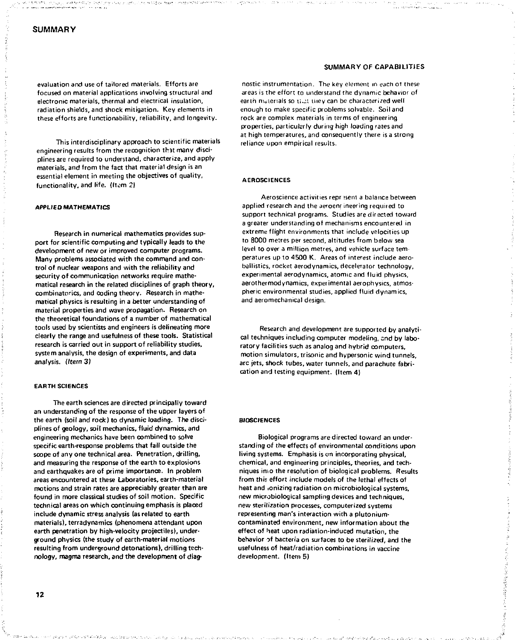evaluation and use of tailored materials. Efforts are focused on material applications involving structural and electronic materials, thermal and electrical insulation, radiation shields, and shock mitigation. Key elements in these efforts are functionability, reliability, and longevity.

This interdisciplinary approach to scientific materials engineering results from the recognition that many disciplines are required to understand, characterize, and apply materials, and from the fact that material design is an essential element in meeting the objectives of quality, functionality, and life. {Item 21

#### APPLIED MATHEMATICS

Research in numerical mathematics provides support for scientific computing and typically leads to the development of new or improved computer programs. Many problems associated with the command and control of nuclear weapons and with the reliability and security of communication networks require mathematical research in the related disciplines of graph theory, combinatorics, and coding theory. Research in mathematical physics is resulting in a better understanding of material properties and wave propagation. Research on the theoretical foundations of a number of mathematical tools used by scientists and engineers is delineating more clearly the range and usefulness of these tools. Statistical research is carried out in support of reliability studies, system analysis, the design of experiments, and data analysis. (Item 3)

#### EARTH SCIENCES

The earth sciences are directed principally toward an understanding of the response of the upper layers of the earth (soil and rock) to dynamic loading. The disciplines of geology, soil mechanics, fluid dynamics, and engineering mechanics have been combined to solve specific earth-response problems that fall outside the scope of any one technical area. Penetration, drilling, and measuring the response of the earth to explosions and earthquakes are of prime importance. In problem areas encountered at these Laboratories, earth-materia I motions and strain rates are appreciably greater than are found in more classical studies of soil motion. Specific technical areas on which continuing emphasis is placed include dynamic stress analysis (as related to earth materials), terradynamics (phenomena attendant upon earth penetration by high-velocity projectiles), underground physics (the study of earth-material motions resulting from underground detonations), drilling technology, magma research, and the development of diag-

#### SUMMARY OF CAPABILITIES

nostic instrumentation. The key element in each ot these areas is the effort to understand the dynamic behavior of earth materials so tilut they can be characterized well. enough to make specific problems solvable. Soil and rock are complex materials in terms of engineering properties, particularly during high loading rates and at high temperatures, and consequently there is a strong reliance upon empirical results.

#### **AEROSCIENCES**

Aeroscience activities repr isent a balance between applied research and the aeroenrineering required to support technical programs. Studies are directed toward a greater understanding of mechanisms encountered in extreme flight environments that include velocities up to 8000 metres per second, altitudes from below sea level to over a million metres, and vehicle surface temperatures up to 4500 K. Areas of interest include aeroballistics, rocket aerodynamics, decelerator technology, experimental aerodynamics, atomic and fluid physics, aerothermodynamics, experimental aerophysics, atmospheric environmental studies, applied fluid dynamics, and aeromechanical design.

Research and development are supported by analytical techniques including computer modeling, end by laboratory facilities such as analog and hybrid computers, motion simulators, trisonic and hypersonic wind tunnels, arc jets, shock tubes, water tunnels, and parachute fabrication and testing equipment. (Item 4)

#### **BIOSCIENCES**

Biological programs are directed toward an understanding of the effects of environmental conditions upon living systems. Emphasis is on incorporating physical, chemical, and engineering principles, theories, and techniques in.o the resolution of biological problems. Results from *thh* effort include models of the lethal effects of heat and ionizing radiation on microbiological systems, new microbiological sampling devices and techniques, new sterilization processes, computerized systems representing man's interaction with a plutoniumcontaminated environment, new information about the effect of heat upon radiation-induced mutation, the behavior of bacteria on surfaces to be sterilized, and the usefulness of heat/radiation combinations in vaccine development. (Item 5}

money within here is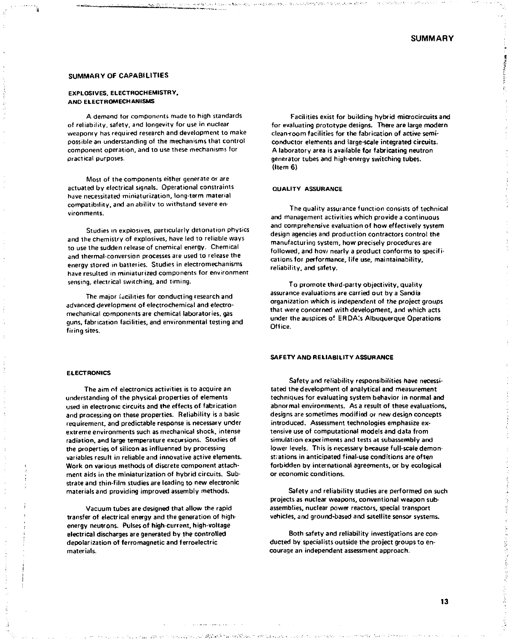**WARRANTING** 

#### SUMMARY OF CAPABILITIES

# EXPLOSIVES. ELECTROCHEMISTRY, AND ELECTROMECHANISMS

A demand tor components made to high standards of reliability, safety, and longevity for use in nuclear weaponry has required research and development to make possible an understanding of the mechanisms that control component operation, and to use these mechanisms for practical purposes.

Most of the components either generate or are actuated by electrical signals. Operational constraints have necessitated miniaturization, long-term material compatibility, and anabifitv to withstand severe environments.

Studies in explosives, particularly detonation physics and the chemistry of explosives, have led to reliable ways to use the sudden release of chemical energy. Chemical and thermal-conversion processes are used to release the energy slored in batteries. Studies in electromechanisms have resulted in miniaturized components for environment sensing, electrical switching, and timing.

The major facilities for conducting research and advanced development of electrochemical and electromechanical components are chemical laboratories, gas guns, fabrication facilities, and environmental testing and firing sites.

Facilities exist for building hybrid microcircuitsand for evaluating prototype designs. There are large modern clean-room facilities for the fabrication of active semiconductor elements and large-scale integrated circuits. A laboratory area is available for fabricating neutron generator tubes and high-energy switching tubes. (Item 6)

#### QUALITY ASSURANCE

The quality assurance function consists of technical and management activities which provide a continuous and comprehensive evaluation of how effectively system design agencies and production contractors control the manufacturing system, how precisely procedures are followed, and how nearly a product conforms to specifications for performance, life use, maintainability, reliability, and safety.

To promote third-party objectivity, quality assurance evaluations are carried out by a Sandia organi2ation which is independent of the project groups that were concerned with development, and which acts under the auspices of ERDA's Albuquerque Operations Office.

#### SAFETY AND RELIABILITY ASSURANCE

Safety *artd* reliability responsibilities have necessitated the development of analytical and measurement techniques for evaluating system behavior in normal and abnormal environments. As a result of these evaluations, designs are sometimes modified or new design concepts introduced. Assessment technologies emphasize extensive use of computational models and data from simulation experiments and tests at subassembly and lower levels. This is necessary because full-scale demonstrations in anticipated final-use conditions are often forbidden by international agreements, or by ecological or economic conditions.

Safety and reliability studies are performed on such projects as nuclear weapons, conventional weapon subassemblies, nuclear power reactors, special transport vehicles, and ground-based and satellite sensor systems.

Both safety and reliability investigations are conducted by specialists outside the project groups to encourage an independent assessment approach.

#### ELECTRONICS

The aim of electronics activities is to acquire an understanding of the physical properties of elements used in electronic circuits and the effects of fabrication and processing on these properties. Reliability is a basic requirement, and predictable response is necessary under extreme environments such as mechanical shock, intense radiation, and large temperature excursions. Studies of the properties of silicon as influenced by processing variables result in reliable and innovative active elements. Work on various methods of discrete component attachment aids in the miniaturization of hybrid circuits. Substrate and thin-film studies are leading to new electronic materials and providing improved assembly methods.

Vacuum tubes are designed that allow the rapid transfer of electrical energy and the generation of highenergy neutrons. Pulses of high-current, high-voltage electrical discharges are generated by the controlled depolar i2ation of ferromagnetic and ferroelectric materials.

13

ことをこばなればよりそのようです。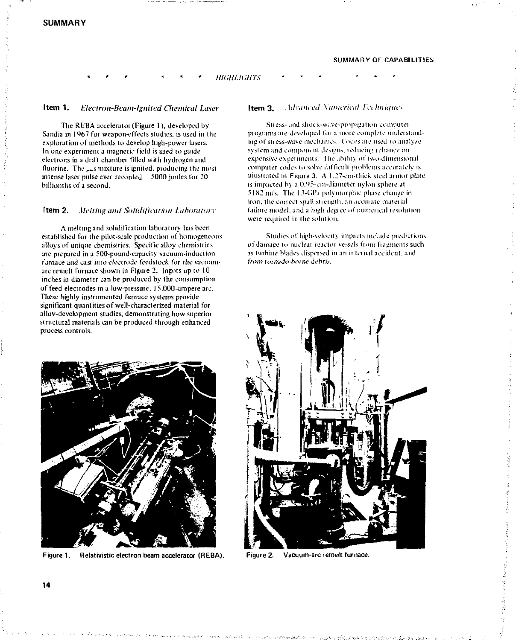# **Item 1.** *Electron-Beam-lgnited Chemical Laser*

The REBA accelerator (Figure 1), developed by Sandia in 1967 for weapon-effects studies, is used in the exploration of methods to develop high-power lasers. In one experiment a magnetic field is used to guide electrons in a drift chamber filled with hydrogen and fluorine. The Las mixture is ignited, producing the most intense laser pulse ever recorded. 5000 joules for 20 billionihs of a second.

#### **Item 2.** *Melting and Solidification Laboratory*

A melting and solidification laboratory has been established for the pilot-scale production of homogeneous alloys of unique chemistries. Specific alloy chemistries are prepared in a 500-pound-capacity vacuum-induction furnace and cast into electrode feedstock for the vacuumarc remelt furnace shown in Figure 2. Ingots up to 10 inches in diameter can be produced by the consumption of feed electrodes in a low-pressure, 15.000-ampere arc. These highly instrumented furnace systems provide significant quantities of well-characterized material for allov-devebpment studies, demonstrating how superior structural materials can be produced through enhanced process controls.



Figure 1. Relativistic electron beam accelerator (REBA).

#### SUMMARY OF CAPABILITIES

**Item 3.** *Advanced Xumcrical let hnhftte.\* 

\* *\* HIGHLIGHTS* \* \* \* \* \*

Stress- and shock-wave-propagation computet programs are developed for a more complete understanding of stress-wave mechanics. Cndes ate used lo analyze system and component designs, reducing reliance on expensive expetiments. 'I lie ability ot two-dimensional computer codes to solve difficult piohlems accurately is illustrated in Figure 3. A 1.27-cm-thick steel armor plate is impacted by a 0.95-cm-diameter nylon sphere at  $5182$  m/s. The 13-GPa polymorphic phase change in iron, the correct spall strength, an accurate material failure model, and a high degree of numerical resolution were required in the solution.

Studies of high-velocity impacts include predictions of damage to nuclear reactor vessels from fragments such as turhine blades dispersed in an internal accident, and from tornado-borne debris.



Figure 2. Vacuum-arc remelt furnace.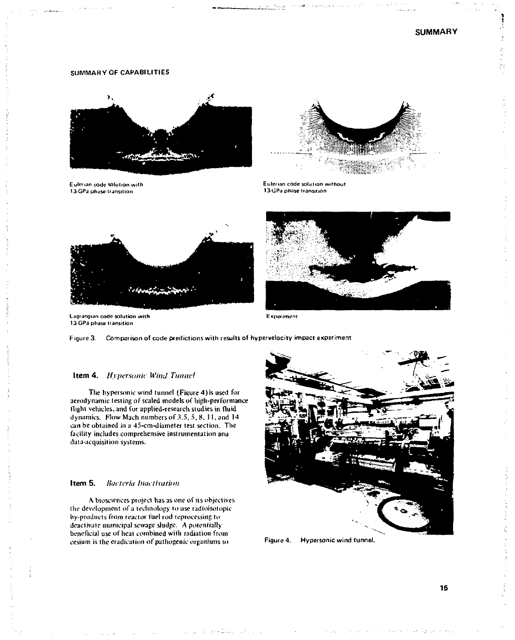# SUMMARY **OF CAPABILITIES**



Eulerian code solution with 13-GPa phase transition



Eulenan code solution without 13-GPa phase transition





Lagrangian code solution with Experiment 13-GPa phase transition

Figure 3. Comparison of code predictions with results of hypervelocity impact experiment

# Item 4. *Hypersonic Wind Tunnel*

The hypersonic wind tunnel (Figure 4)is used for aerodynamic testing of scaled models of high-performance flight vehicles, and for applied-research studies in fluid dynamics. Flow Mach numbers of 3.5, 5, 8, 11, and 14 can be obtained in a 45-cm-diameter test section. The facility includes comprehensive instrumentation ana data-acquisition systems.

# **Item 5.** *Bacteria Inactivation*

A biosciences project has as one *of* its objectives the development of a technology to use radioisotopic by-products from reactor fuel rod reprocessing to deactivaie municipal sewage sludge. A potentially beneficial use of heat combined with radiation from cesium is the eradication of pathogenic organisms so Figure 4. Hypersonic wind tunnel.

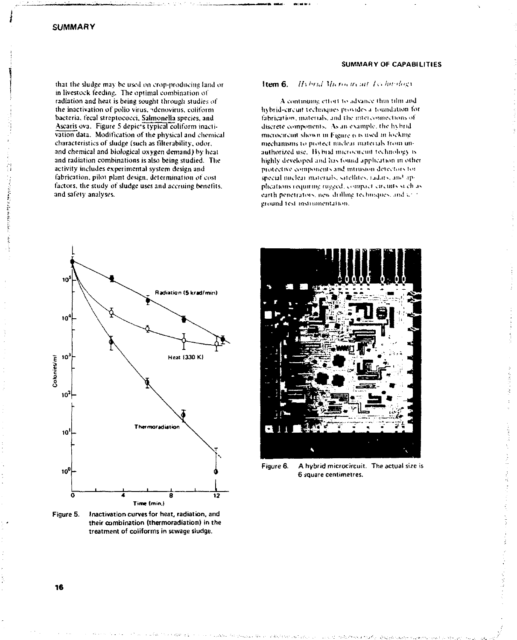that the sludge may be used on crop-producing land or in livestock feeding. The optimal combination of radiation and heat is being sought through studies of the inactivation of polio virus, adenovirus, coliform bacteria, fecal streptococci, Salmonella species, and Ascaris ova. Figure 5 depic's typical coliform inactivation data. Modification of the physical and chemical characteristics of sludge (such as filterability, odor, and chemical and biological oxygen demand) by heat and radiation combinations is also being studied. The activity includes experimental system design and fabrication, pilot plant design, determination of cost factors, the study of sludge uses and accruing benefits. and safety analyses.

#### SUMMARY OF CAPABILITIES

Item 6. Hybrid Microvicant Lechtridaey

A continuing effort to advance thin film and hybrid-circuit techniques provides a foundation for fabrication, materials, and the interconnections of discrete components. As an example, the hybrid microcircuit shown in Figure 6 is used in locking mechanisms to protect nuclear materials from unauthorized use. Hybrid microcircuit technology is highly developed and has found application in other protective components and intrusion detectors for special nuclear materials, satellites, radars, and applications requiring rugged, compact circuits such as earth penetrators, new drilling techniques, and unit ground test instrumentation.



Figure 5. Inactivation curves for heat, radiation, and their combination (thermoradiation) in the treatment of coliforms in sewage sludge.



Figure 6. A hybrid microcircuit. The actual size is 6 square centimetres.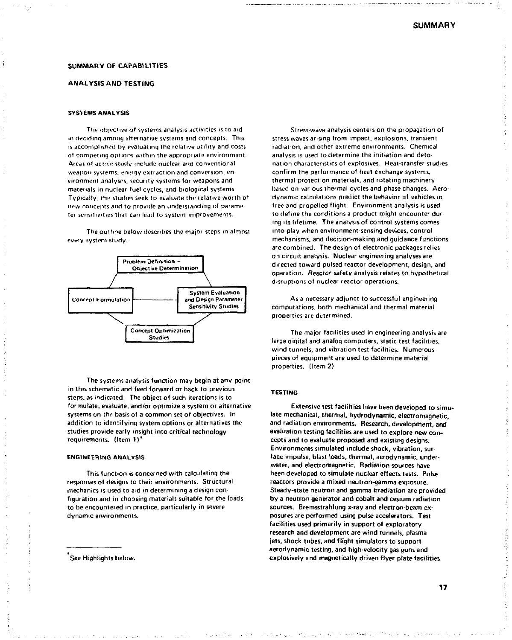#### SUMMARY OF CAPABILITIES

### ANALYSIS AND TESTING

#### SYSYEMS ANALYSIS

The objective of systems analysis activities is to aid m deciding among alter native systems and concepts. This *is accomplished by evaluating the relative utility and costs* of competing options within the appropriate environment. Areas of active study include nuclear and conventional weapon systems, energy extraction and conversion, environment analyses, security systems for weapons and materials in nuclear fuel cycles, and biological systems. Typically, the studies seek to evaluate the relative worth o1 new concepts and to provide *an* understanding of parameter sensitivities thai can lead to system improvements.

The outline below describes the major steps in almost every system study.



The systems analysis function may begin at any point in this schematic and feed forward or back to previous steps, as indicated. The object of such iterations is to formulate, evaluate, and/or optimize a system or alternative systems on the basis of a common set of objectives. In addition to identifying system options or alternatives the studies provide early insight into critical technology requirements. (Item 1)"

#### ENGINEERING ANALYSIS

This function is concerned with calculating the responses of designs to their environments. Structural mechanics is used to aid in determining a design configuration and in choosing materials suitable for the loads to be encountered in practice, particularly in severe dynamic environments.

See Highlights below.

Stress wave analysis centers on the propagation of stress waves arising from impact, explosions, transient radiation, and other extreme environments. Chemical analysis is used to determine the initiation and detonation characteristics of explosives. Heat-transfer studies confirm the performance of heat exchange systems, thermal protection materials, and rotating machinery based on various thermal cycles and phase changes. Aerodynamic calculations predict the behavior of vehicles m free and propelled flight. Environment analysis is used to define the conditions a product might encounter during its lifetime. The analysis of control systems comes into play when environment sensing devices, control mechanisms, and decision-making and guidance functions are combined. The design of electronic packages relies on circuit analysis. Nuclear engineering analyses are directed toward pulsed reactor development, design, and operation. Reactor safety analysis relates to hypothetical disruptions of nuclear reactor operations.

As a necessary adjunct to successful engineering computations, both mechanical and thermal material properties are determined.

The major facilities used in engineering analysis are large digital and analog computers, static test facilities, wind tunnels, and vibration test facilities. Numerous pieces of equipment are used to determine material properties. (Item 2)

#### TESTING

Extensive test facilities have been developed to simulate mechanical, thermal, hydrodynamic, electromagnetic, and radiation environments. Research, development, and evaluation testing facilities are used to explore new concepts and to evaluate proposed and existing designs. Environments simulated include shock, vibration, sur face impulse, blast loads, thermal, aerodynamic, underwater, and electromagnetic. Radiation sources have been developed to simulate nuclear effects tests. Pulse reactors provide a mixed neutron-gamma exposure. Steady-state neutron and gamma irradiation are provided by a neutron generator and cobalt and cesium radiation sources. Bremsstrahlung x-ray and electron-beam exposures are performed using pulse accelerators. Test facilities used primarily in support of exploratory research and development are wind tunnels, plasma jets, shock tubes, and flight simulators to support aerodynamic testing, and high-velocity gas guns and explosively and magnetically driven flyer plate facilities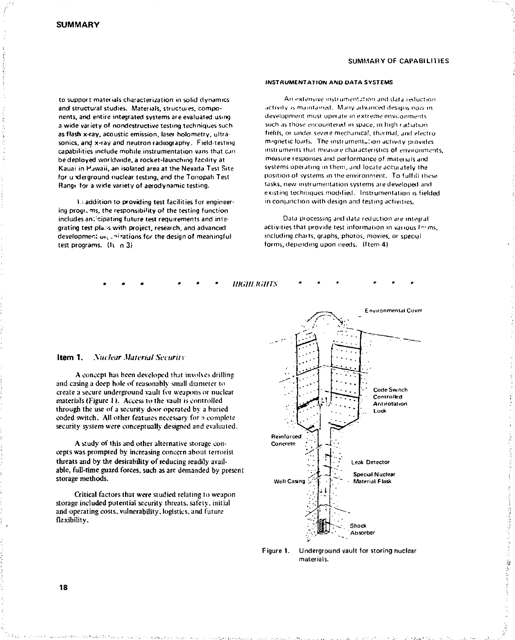#### SUMMARY OF CAPABILITIES

to support materials characterization in solid dynamics and structural studies. Materials, structures, components, and entire integrated systems are evaluated using a wide variety of nondestructive testing techniques such as flash x-ray, acoustic emission, laser holometry, ultrasonics, and x-ray and neutron radiography. Field-testing capabilities include mobile instrumentation vans that can bedeployed worldwide, a rocket-launching facility at Kauai in Pjwaii, an isolated area at the Nevada Test Site for u xJerground nuclear testing, and the Tonopah Test Range for a wide variety of aerodynamic testing.

*\.\* addition to providing test facilities for engineering programs, the responsibility of the testing function includes an:'cipating future test requirements and integrating test pla.swilh project, research, and advanced development on intrations for the design of meaningful test programs. (It n 3)

#### INSTRUMENTATION AND DATA SYSTEMS

An extensive instrument.::ion and data reduction activity is maintained. Many advanced designs now in development must operate m extreme envi-onine-its such as those encountered in space, in high radiation fields, or under severe mechanical, thermal, and electromagnetic loads. The instrumentation activity piovides insti uments thai measure characteristics of environments, measure responses and performance of materials and systems operating in them, and locate accurately the position of systems in the environment. To fulfill these tasks, new instrumentation systems aie developed and existing techniques modified. Instrumentation is fielded in conjunction with design and testing activities.

Data processing and data reduction are integral activities that provide test information in various forms, including charts, graphs, photos, movies, or special forms, depending upon needs. (Item 4)

# **Item 1.** *Xuctear Material Security*  A concept has been developed that involves drilling

*mat LIMITS* 

and casing a deep hole of reasonably small diameter to create a secure underground vault for weapons or nuclear materials (Figure 1). Access to the vault is controlled through the use of a security door operated by a buried coded switch. All other features necessary for a complete security system were conceptually designed and evaluated.

A study of this and other alternative storage concepts was prompted by increasing concern about terrorist threats and by the desirability of reducing readily available, full-time guard forces, such as arc demanded by present storage methods.

Critical factors that were studied relating to weapon storage included potential security threats, safety, initial and operating costs, vulnerability, logistics, and future flexibility.



Figure 1. Underground vault for storing nuclear materials.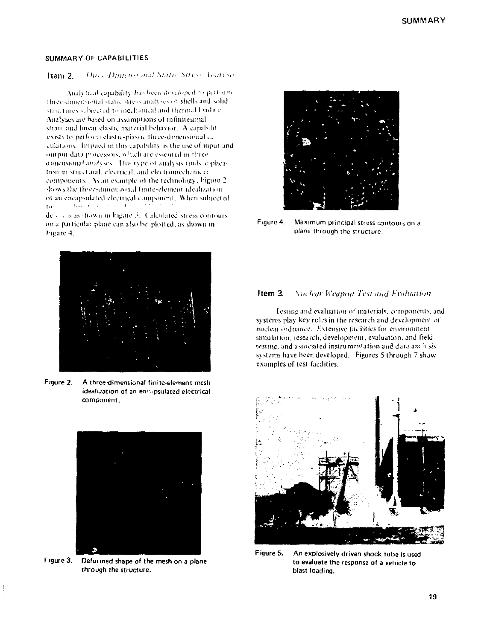# SUMMARY OF CAPABILITIES

#### Three Dimensional Static Stress, Inah sis Item 2.

Analytical capability has been developed to perform three-dimensional static stress analyses of shells and solid structures subjected to inechanical and thermal loaditie Analyses are based on assumptions of infinitesimal strain and linear elastic material behavior. A capabilit exists to perform clastic-plastic three-dimensional caculations. Implied in this capability is the use of input and output data processors, which are essential in three dimensional analyses. This type of analysis finds application in structural, electrical, and electromechanical components. As an example of the technology, Figure 2 shows the three-dimensional funite-element idealization. of an encapsulated electrical component. When subjected Terror Controller to:  $\sim$  3.1

determs as thown in Figure 3. Calculated stress contours on a particular plane can also be plotted, as shown in Figure 4.



Figure 2. A three-dimensional finite-element mesh idealization of an encapsulated electrical component.



Figure 3. Deformed shape of the mesh on a plane through the structure.



Figure 4. Maximum principal stress contours on a plane through the structure.

#### Item 3 **Nuclear Weapon Test and Evaluation**

Testing and evaluation of materials, components, and systems play key roles in the research and development of miclear ordinance. Extensive facilities for environment simulation, research, development, evaluation, and field testing, and associated instrumentation and data analysis systems have been developed. Figures 5 through 7 show examples of test facilities.



Figure 5. An explosively driven shock tube is used to evaluate the response of a vehicle to blast loading.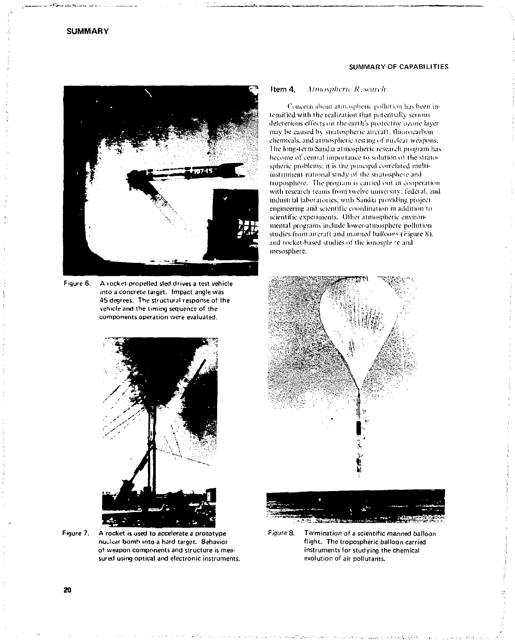

Figure 6. A rocket-propelled sled drives a test vehicle into a concrete target. Impact angle was 45 degrees. The structural response of the vehicle and the timing sequence of the components operation were evaluated.



**Figure** 7. A rocket is used to accelerate a prototype nuclear bomh into a hard target. Behavior of weapon components and structure is measured using optical and electronic instruments.

# SUMMARY OF CAPABILITIES

#### **Item 4.** Atmospheric Research

Concern about aimosphcric pollution has been intensified wilh ihe realization lhai potentially serious deleterious effects on the earth's protective o/.one layer may be caused by stratospheric aircraft. fluorocarbon chemicals, and aimospheric testing *o\'* nuclear weapons. Ihe long-term Sandia atmospheric reseaich progiam has become of central importance to solution of ihe stratospheric problems; it is the principal correlated multiinslrumeni national study of ihe shaiospheie and troposphere. The program is carried out in cooperation with research teams from twelve university, federal, and industrial laboratories, with Sandia providing project engineering and scientific coordination in addition to scientific experiments. Other atmospheric environmental programs include lower-atmosphere pollution studies from aircraft and manned balloons (Figure 8). and rocket-based studies of the ionosplr re and mesosphere.



Figure 8. Termination of a scientific manned balloon flight. The tropospheric balloon carried instruments for studying the chemical evolution of air pollutants.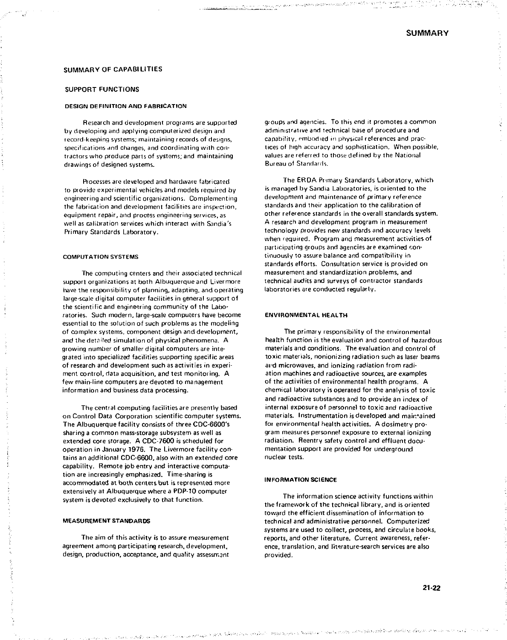#### SUMMARY OF CAPABILITIES

#### SUPPORT FUNCTIONS

#### DESIGN DEFINITION AND FABRICATION

Research and development programs are supported by developing and applying computerized design and record-keeping systems; maintaining records of designs, specifications and changes, and coordinating with contractors who produce parts of systems; and maintaining drawings of designed systems.

Processes are developed and hardware fabricated to provide experimental vehicles and models required by engineering and scientific organizations. Complementing the fabrication and development facilities are inspection, equipment repair, and process engineering services, as well as calibration services which interact with Sondia's Primary Standards Laboratory.

#### COMPUTATION SYSTEMS

The computing centers and their associated technical support organizations at both Albuquerque and Livermore have the responsibility of planning, adapting, and operating large-scale digital computer facilities in general support of the scientificand engineering community of the Laboratories. Such modern, large-scale computers have become essential to the solution of such problems as the modeling of complex systems, component design and development, and the detailed simulation of physical phenomena. A growing number of smaller digital computers are integrated into specialized facilities supporting specific areas of research and development such as activities in experiment control, data acquisition, and test monitoring. A few main-line computers are devoted to management information and business data processing.

The central computing facilities are presently based on Control Data Corporation scientific computer systems. The Albuquerque facility consists of three CDC-6600's sharing a common mass-storage subsystem as well as extended core storage. A CDC-7600 is scheduled for operation in January 1976. The Livermore facility contains an additional CDC-6600, also with an extended core capability. Remote job entry and interactive computation are increasingly emphasized. Time-sharing is accommodated at both centers but is represented more extensively at Albuquerque where a PDP-10 computer system is devoted exclusively to that function.

#### MEASUREMENT STANDARDS

The aim of this activity is to assure measurement agreement among participating research, development, design, production, acceptance, and quality assessrr.ant groups and agencies. To this end it promotes *a* common administrative and technical base of procedure and capability, embodied in physical references and practices of high accuracy and sophistication. When possible, values are referred to those defined by the National Bureau of Standards.

أوالا وأراضي تشابع ومحاجات والانتصار والمحاصلين والمرا

The ERDA Primary Standards Laboratory, which is managed by Sandia Laboratories, is oriented to the development and maintenance of primary reference standards and their application to the calibration of other reference standards in the overall standards system. A research and development program in measurement technology provides new standards and accuracy levels when required. Program and measurement activities of participating groups and agencies are examined continuously to assure balance and compatibility in standards efforts. Consultation service is provided on measurement and standardization problems, and technical audits and surveys of contractor standards laboratories are conducted regularly.

#### ENVIRONMENTAL HEALTH

The primary responsibility of the environmental health function is the evaluation and control of hazardous materials and conditions. The evaluation and control of toxic materials, nonionizing radiation such as laser beams ai'd microwaves, and ionizing radiation from radiation machines and radioactive sources, are examples of the activities of environmental health programs. A chemical laboratory is operated for the analysis of toxic and radioactive substances and to provide an index of internal exposure of personnel to toxic and radioactive materials. Instrumentation is developed and main\*ained foi environmental health activities. A dosimetry program measures personnel exposure to external ionizing radiation. Reentry safety control and effluent documentation support are provided for underground nuclear tests.

#### INFORMATION SCIENCE

The information science activity functions within the framework of the technical library, and is oriented toward the efficient dissemination of information to technical and administrative personnel. Computerized systems are used to collect, process, and circulate books, reports, and other literature. Current awareness, reference, translation, and literature-search services are also provided.

amaga kejedi. Silakashi se eksimbo dipanagan sebalahan baha regga mitangin segishar desima digear merese sere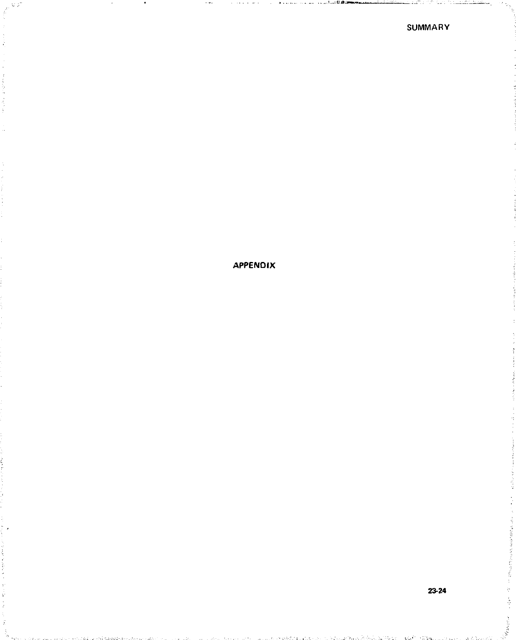# **APPENDIX**

á

 $\mathcal{M}_{\rm{QCD}}$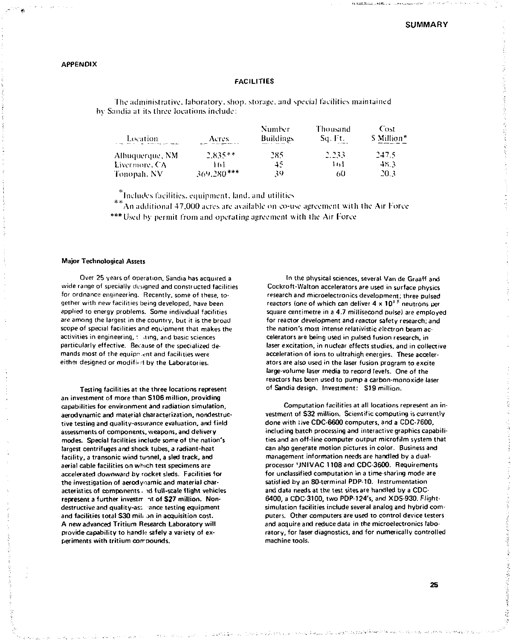# **APPENDIX**

# FACILITIES

The administrative, laboratory , shop, storage, and special facilities maintained hy Sandia at its three locations include:

| Location        | Acres.       | Number<br><b>Buildings</b> | Thousand<br>Sq. Ft. | Cost<br>S Million* |
|-----------------|--------------|----------------------------|---------------------|--------------------|
| Albuquerque, NM | $2.835**$    | 285                        | 2.233               | 247.5              |
| Livermore, CA   | ١ń١          | 45                         | l til               | 48.3               |
| Tonopah, NV     | $369.280***$ | 39                         | 60                  | 20.3               |

 $*$ Includes facilities, equipment, land, and utilities

An additional 47,000 acres are available on co-use agreement with the Air Force \*\*\* Used by permit from and operating agreement with the Air Force

#### Major Technological Assets

Over 25 years of operation, Sandia has acquired a wide range of specially designed and constructed facilities for ordnance engineering. Recemly, some of these, together with new facilities being developed, have been applied to energy problems. Some individual facilities are among the largest in the country, but it is the broad scope of special facilities and equipment thai makes the activities in engineering, : .ting, and basic sciences particularly effective. Because of the specialized demands most of the equipment and facilities were either designed or modified by the Laboratories.

Testing facilities at the three locations represent an investment of more than S106 million, providing capabilities for environment and radiation simulation, aerodynamic and material characterization, nondestructive testing and quality-assurance evaluation, and field assessments of components, weapons, and delivery modes. Special facilities include some of the nation's largest centrifuges and shock tubes, a radiant-heat facility, a transonic wind tunnel, a sled track, and aerial cable facilities on which test specimens are accelerated downward by rocket sleds. Facilities for the investigation of aerodynamic and material characteristics of components, id full-scale flight vehicles represent a further investmint of S27 million. Nondestructive and quality-ass ance testing equipment and facilities total \$30 milt on in acquisition cost. A new advanced Tritium Research Laboratory will provide capability to handle safely a variety of experiments with tritium corrpounds.

In the physical sciences, several Van de Graaff and Cockroft-Walton accelerators are used in surface physics research and microelectronics development; three pulsed reactors (one of which can deliver 4 x 10' <sup>5</sup> neutrons per square centimetre in a 4.7 millisecond pulse) are employed for reactor development and reactor safety research; and the nation's most intense relativistic electron beam accelerators are being used in pulsed fusion research, in laser excitation, in nuclear effects studies, and in collective acceleration of ions to ultrahigh energies. These accelerators are also used in the laser fusion program to excite large-volume laser media to record levels. One of the reactors has been used to pump a carbon-monoxide laser of Sandia design. Investment: S19 million.

Computation facilities at all locations represent an investment of S32 million. Scientific computing is currently done with live CDC-6600 computers, and a CDC-7600, including batch processing and interactive graphics capabilities and an off-line computer output microfilm system that can also generate motion pictures in color. Business and management information needs are handled by a dualprocessor 'JNIVAC 1108 and CDC-3600. Requirements for unclassified computation in a time-sharing mode are satisfied by an 80-terminal PDP-10. Instrumentation and data needs at the test sites are handled by a CDC-6400, a CDC-3100, two PDP-124's, and XDS-930. Flightsimulation facilities include several analog and hybrid computers. Other computers are used to control device testers and acquire and reduce data in the microelectronics laboratory, for laser diagnostics, and for numerically controlled machine tools.

يتعادلهم والمتروم والمركوبي والمتروج

医多种单位 经通货运费 计分类子数据程序经验系统

á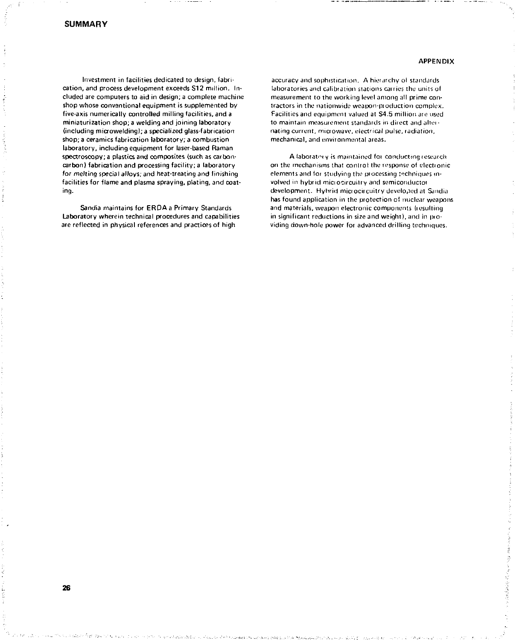26

# **APPENDIX**

Investment in facilities dedicated to design, fabrication, and process development exceeds \$12 million. Included are computers to aid in design; a complete machine shop whose conventional equipment is supplemented by five-axis numerically controlled milling facilities, and a miniaturization shop; a welding and joining laboratory (including microwelding); a specialized glass-fabrication shop; a ceramics fabrication laboratory; a combustion laboratory, including equipment for laser-based Raman spectroscopy; a plastics and composites (such as carboncarbon) fabrication and processing facility; a laboratory for melting special alloys; and heat-treating and finishing facilities for flame and plasma spraying, plating, and coating.

Sandia maintains for ERDA *a* Primary Standards Laboratory wherein technical procedures and capabilities are reflected in physical references and practices of high

accuracy and sophistication. A hierarchy ol standards laboratories and calibration stations carries the units of measurement to the working level among all prime contractors in the nationwide weapon-pioduction complex. Facilities and equipment valued at \$4.5 million ate used to maintain measurement standards in direct and alternating current, microwave, electrical pulse, radiation, mechanical, and environmental areas.

A laboratory is maintained for conducting research on the mechanisms that control the response of electronic elements and for studying the processing techniques involved in hybrid miciocircuitry and semiconductor development. Hybrid miciocircuitry developed at Sandia has found application in the protection ci nuclear weapons and materials, weapon electronic components (resulting in significant reductions in size and weight), and in pioviding down-hole power for advanced drilling techniques.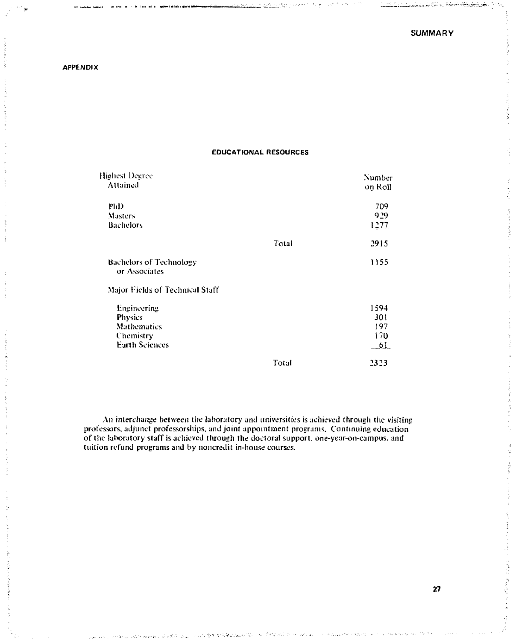# **APPENDIX**

# **EDUCATIONAL RESOURCES**

| Highest Degree<br>Attained                                                                |       | Number<br>on Roll               |
|-------------------------------------------------------------------------------------------|-------|---------------------------------|
| PhD<br>Masters<br>Bachelors                                                               |       | 709<br>929<br>1277              |
|                                                                                           | Total | 2915                            |
| <b>Bachelors of Technology</b><br>or Associates                                           |       | 1155                            |
| Major Fields of Technical Staff                                                           |       |                                 |
| Engineering<br><b>Physics</b><br><b>Mathematics</b><br>Chemistry<br><b>Earth Sciences</b> |       | 1594<br>301<br>197<br>170<br>61 |
|                                                                                           | Total | 2323                            |
|                                                                                           |       |                                 |

An interchange between the laboratory and universities is achieved through the visiting professors, adjunct professorships, and joint appointment programs. Continuing education of the laboratory staff is achieved through the doctoral support, one-year-on-campus, and tuition refund programs and by noncredit in-house courses.

**27**